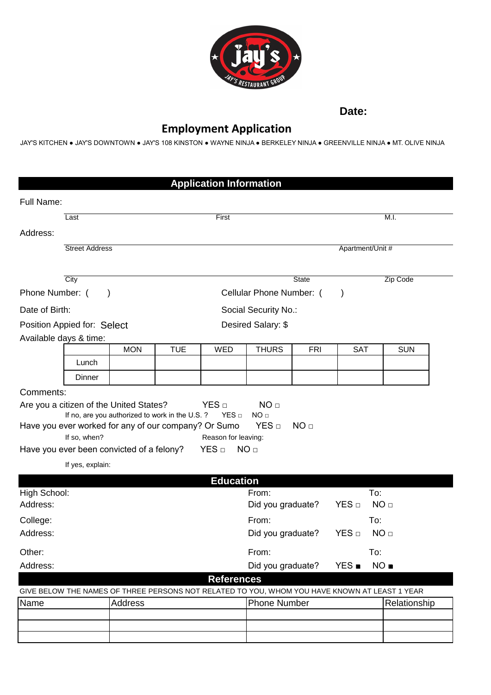

**Date:**

## **Employment Application**

JAY'S KITCHEN ● JAY'S DOWNTOWN ● JAY'S 108 KINSTON ● WAYNE NINJA ● BERKELEY NINJA ● GREENVILLE NINJA ● MT. OLIVE NINJA

|                              |                                                                                                                   |                                                |                          | <b>Application Information</b>          |                                                                                               |                 |                         |                 |
|------------------------------|-------------------------------------------------------------------------------------------------------------------|------------------------------------------------|--------------------------|-----------------------------------------|-----------------------------------------------------------------------------------------------|-----------------|-------------------------|-----------------|
| Full Name:                   |                                                                                                                   |                                                |                          |                                         |                                                                                               |                 |                         |                 |
|                              | Last                                                                                                              |                                                |                          | First                                   |                                                                                               |                 |                         | M.I.            |
| Address:                     |                                                                                                                   |                                                |                          |                                         |                                                                                               |                 |                         |                 |
| <b>Street Address</b>        |                                                                                                                   |                                                |                          |                                         | Apartment/Unit #                                                                              |                 |                         |                 |
|                              |                                                                                                                   |                                                |                          |                                         |                                                                                               |                 |                         |                 |
|                              | City                                                                                                              |                                                |                          |                                         |                                                                                               | <b>State</b>    |                         | Zip Code        |
| Phone Number: (<br>$\lambda$ |                                                                                                                   |                                                | Cellular Phone Number: ( |                                         |                                                                                               |                 |                         |                 |
| Date of Birth:               |                                                                                                                   |                                                | Social Security No.:     |                                         |                                                                                               |                 |                         |                 |
| Position Appied for: Select  |                                                                                                                   |                                                | Desired Salary: \$       |                                         |                                                                                               |                 |                         |                 |
|                              | Available days & time:                                                                                            |                                                |                          |                                         |                                                                                               |                 |                         |                 |
|                              |                                                                                                                   | <b>MON</b>                                     | <b>TUE</b>               | <b>WED</b>                              | <b>THURS</b>                                                                                  | <b>FRI</b>      | SAT                     | <b>SUN</b>      |
|                              | Lunch                                                                                                             |                                                |                          |                                         |                                                                                               |                 |                         |                 |
|                              | Dinner                                                                                                            |                                                |                          |                                         |                                                                                               |                 |                         |                 |
| Comments:                    |                                                                                                                   |                                                |                          |                                         |                                                                                               |                 |                         |                 |
|                              | Have you ever worked for any of our company? Or Sumo<br>If so, when?<br>Have you ever been convicted of a felony? | If no, are you authorized to work in the U.S.? |                          | Reason for leaving:<br>YES <sub>□</sub> | NO <sub>□</sub><br>YES <sub>□</sub><br>NO <sub>□</sub>                                        | NO <sub>□</sub> |                         |                 |
|                              | If yes, explain:                                                                                                  |                                                |                          |                                         |                                                                                               |                 |                         |                 |
|                              |                                                                                                                   |                                                |                          |                                         |                                                                                               |                 |                         |                 |
|                              |                                                                                                                   |                                                |                          | <b>Education</b>                        |                                                                                               |                 |                         |                 |
| High School:<br>Address:     |                                                                                                                   |                                                |                          |                                         | From:<br>Did you graduate?                                                                    |                 | To:<br>YES <sub>□</sub> | NO <sub>□</sub> |
|                              |                                                                                                                   |                                                |                          |                                         | From:                                                                                         |                 | To:                     |                 |
| College:<br>Address:         |                                                                                                                   |                                                |                          |                                         | Did you graduate?                                                                             |                 | YES <sub>□</sub>        | NO <sub>□</sub> |
| Other:                       |                                                                                                                   |                                                |                          |                                         | From:                                                                                         |                 | To:                     |                 |
| Address:                     |                                                                                                                   |                                                |                          |                                         | Did you graduate?                                                                             |                 | <b>YES</b> ■            | NO ■            |
|                              |                                                                                                                   |                                                |                          | <b>References</b>                       |                                                                                               |                 |                         |                 |
|                              |                                                                                                                   |                                                |                          |                                         | GIVE BELOW THE NAMES OF THREE PERSONS NOT RELATED TO YOU, WHOM YOU HAVE KNOWN AT LEAST 1 YEAR |                 |                         |                 |
| Name                         |                                                                                                                   | <b>Address</b>                                 |                          |                                         | <b>Phone Number</b>                                                                           |                 |                         | Relationship    |
|                              |                                                                                                                   |                                                |                          |                                         |                                                                                               |                 |                         |                 |